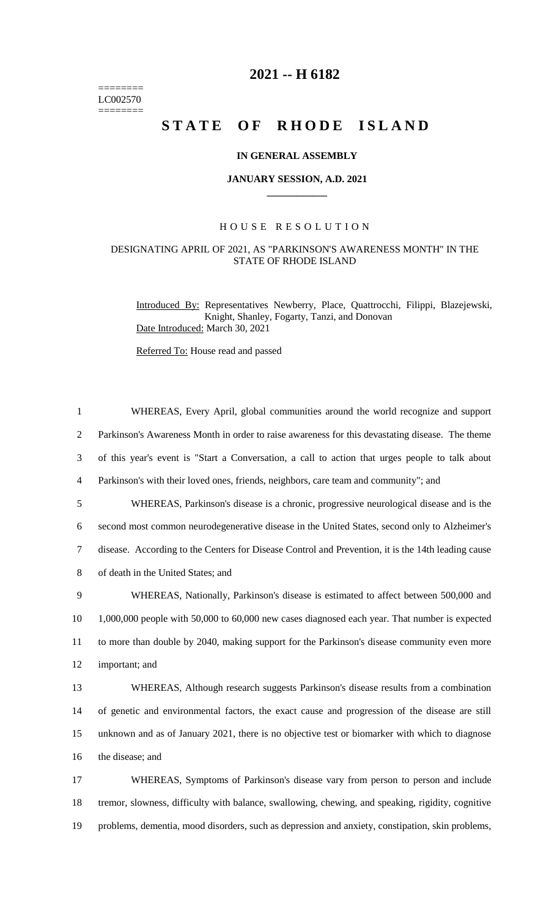======== LC002570 ========

# **2021 -- H 6182**

# **STATE OF RHODE ISLAND**

## **IN GENERAL ASSEMBLY**

## **JANUARY SESSION, A.D. 2021 \_\_\_\_\_\_\_\_\_\_\_\_**

## H O U S E R E S O L U T I O N

## DESIGNATING APRIL OF 2021, AS "PARKINSON'S AWARENESS MONTH" IN THE STATE OF RHODE ISLAND

Introduced By: Representatives Newberry, Place, Quattrocchi, Filippi, Blazejewski, Knight, Shanley, Fogarty, Tanzi, and Donovan Date Introduced: March 30, 2021

Referred To: House read and passed

| $\mathbf{1}$   | WHEREAS, Every April, global communities around the world recognize and support                    |
|----------------|----------------------------------------------------------------------------------------------------|
| $\overline{2}$ | Parkinson's Awareness Month in order to raise awareness for this devastating disease. The theme    |
| 3              | of this year's event is "Start a Conversation, a call to action that urges people to talk about    |
| $\overline{4}$ | Parkinson's with their loved ones, friends, neighbors, care team and community"; and               |
| 5              | WHEREAS, Parkinson's disease is a chronic, progressive neurological disease and is the             |
| 6              | second most common neurodegenerative disease in the United States, second only to Alzheimer's      |
| $\overline{7}$ | disease. According to the Centers for Disease Control and Prevention, it is the 14th leading cause |
| 8              | of death in the United States; and                                                                 |
| 9              | WHEREAS, Nationally, Parkinson's disease is estimated to affect between 500,000 and                |
| 10             | 1,000,000 people with 50,000 to 60,000 new cases diagnosed each year. That number is expected      |
| 11             | to more than double by 2040, making support for the Parkinson's disease community even more        |
| 12             | important; and                                                                                     |
| 13             | WHEREAS, Although research suggests Parkinson's disease results from a combination                 |
| 14             | of genetic and environmental factors, the exact cause and progression of the disease are still     |
| 15             | unknown and as of January 2021, there is no objective test or biomarker with which to diagnose     |
| 16             | the disease; and                                                                                   |
| 17             | WHEREAS, Symptoms of Parkinson's disease vary from person to person and include                    |
| 18             | tremor, slowness, difficulty with balance, swallowing, chewing, and speaking, rigidity, cognitive  |

19 problems, dementia, mood disorders, such as depression and anxiety, constipation, skin problems,